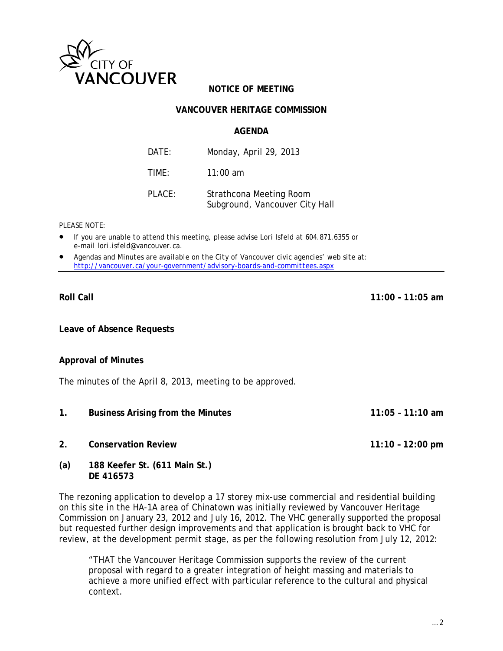

# **NOTICE OF MEETING**

## **VANCOUVER HERITAGE COMMISSION**

#### **AGENDA**

| DATF:  | Monday, April 29, 2013                                    |
|--------|-----------------------------------------------------------|
| TIME:  | 11:00 am                                                  |
| PLACE: | Strathcona Meeting Room<br>Subground, Vancouver City Hall |

*PLEASE NOTE:*

- *If you are unable to attend this meeting, please advise Lori Isfeld at 604.871.6355 or e-mail lori.isfeld@vancouver.ca*.
- *Agendas and Minutes are available on the City of Vancouver civic agencies' web site at: <http://vancouver.ca/your-government/advisory-boards-and-committees.aspx>*

**Leave of Absence Requests**

#### **Approval of Minutes**

The minutes of the April 8, 2013, meeting to be approved.

- **1. Business Arising from the Minutes 11:05 – 11:10 am**
- **2. Conservation Review 11:10 – 12:00 pm**
- **(a) 188 Keefer St. (611 Main St.) DE 416573**

The rezoning application to develop a 17 storey mix-use commercial and residential building on this site in the HA-1A area of Chinatown was initially reviewed by Vancouver Heritage Commission on January 23, 2012 and July 16, 2012. The VHC generally supported the proposal but requested further design improvements and that application is brought back to VHC for review, at the development permit stage, as per the following resolution from July 12, 2012:

"THAT the Vancouver Heritage Commission supports the review of the current proposal with regard to a greater integration of height massing and materials to achieve a more unified effect with particular reference to the cultural and physical context.

**Roll Call 11:00 – 11:05 am**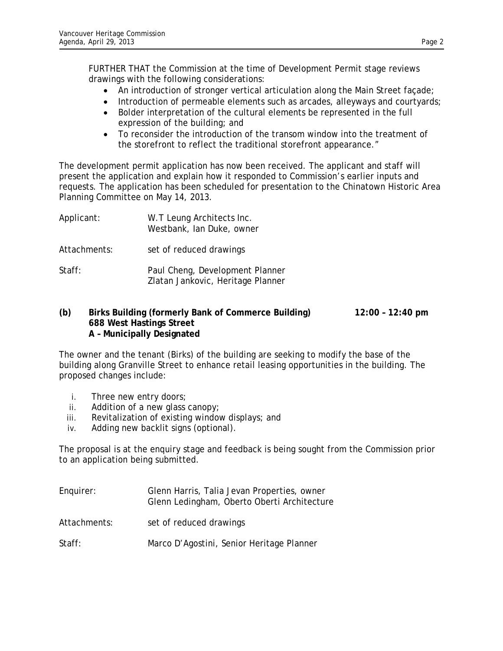FURTHER THAT the Commission at the time of Development Permit stage reviews drawings with the following considerations:

- An introduction of stronger vertical articulation along the Main Street façade;
- Introduction of permeable elements such as arcades, alleyways and courtyards;
- Bolder interpretation of the cultural elements be represented in the full expression of the building; and
- To reconsider the introduction of the transom window into the treatment of the storefront to reflect the traditional storefront appearance."

The development permit application has now been received. The applicant and staff will present the application and explain how it responded to Commission's earlier inputs and requests. The application has been scheduled for presentation to the Chinatown Historic Area Planning Committee on May 14, 2013.

| Applicant:   | W.T Leung Architects Inc.<br>Westbank, Ian Duke, owner               |
|--------------|----------------------------------------------------------------------|
| Attachments: | set of reduced drawings                                              |
| Staff:       | Paul Cheng, Development Planner<br>Zlatan Jankovic, Heritage Planner |

## **(b) Birks Building (formerly Bank of Commerce Building) 12:00 – 12:40 pm 688 West Hastings Street A – Municipally Designated**

The owner and the tenant (Birks) of the building are seeking to modify the base of the building along Granville Street to enhance retail leasing opportunities in the building. The proposed changes include:

- i. Three new entry doors;
- ii. Addition of a new glass canopy;
- iii. Revitalization of existing window displays; and
- iv. Adding new backlit signs (optional).

The proposal is at the enquiry stage and feedback is being sought from the Commission prior to an application being submitted.

Enquirer: Glenn Harris, Talia Jevan Properties, owner Glenn Ledingham, Oberto Oberti Architecture Attachments: set of reduced drawings Staff: Marco D'Agostini, Senior Heritage Planner